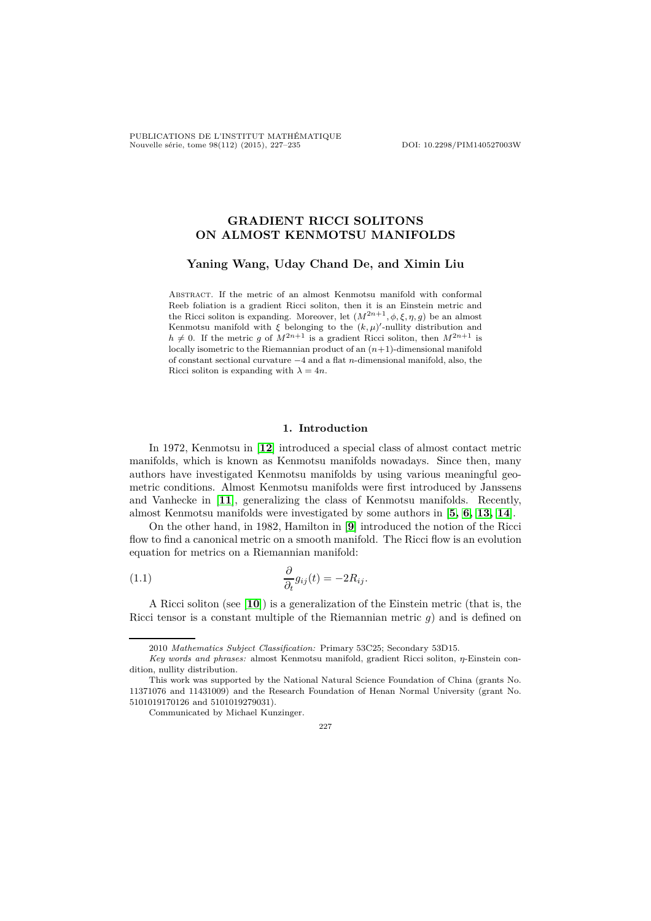PUBLICATIONS DE L'INSTITUT MATHÉMATIQUE Nouvelle série, tome 98(112) (2015), 227–235 DOI: 10.2298/PIM140527003W

# **GRADIENT RICCI SOLITONS ON ALMOST KENMOTSU MANIFOLDS**

**Yaning Wang, Uday Chand De, and Ximin Liu**

Abstract. If the metric of an almost Kenmotsu manifold with conformal Reeb foliation is a gradient Ricci soliton, then it is an Einstein metric and the Ricci soliton is expanding. Moreover, let  $(M^{2n+1}, \phi, \xi, \eta, q)$  be an almost Kenmotsu manifold with  $\xi$  belonging to the  $(k,\mu)'$ -nullity distribution and  $h \neq 0$ . If the metric *g* of  $M^{2n+1}$  is a gradient Ricci soliton, then  $M^{2n+1}$  is locally isometric to the Riemannian product of an (*n*+1)-dimensional manifold of constant sectional curvature −4 and a flat *n*-dimensional manifold, also, the Ricci soliton is expanding with  $\lambda = 4n$ .

# **1. Introduction**

In 1972, Kenmotsu in [**[12](#page-8-0)**] introduced a special class of almost contact metric manifolds, which is known as Kenmotsu manifolds nowadays. Since then, many authors have investigated Kenmotsu manifolds by using various meaningful geometric conditions. Almost Kenmotsu manifolds were first introduced by Janssens and Vanhecke in [**[11](#page-8-1)**], generalizing the class of Kenmotsu manifolds. Recently, almost Kenmotsu manifolds were investigated by some authors in [**[5,](#page-7-0) [6,](#page-7-1) [13,](#page-8-2) [14](#page-8-3)**].

On the other hand, in 1982, Hamilton in [**[9](#page-8-4)**] introduced the notion of the Ricci flow to find a canonical metric on a smooth manifold. The Ricci flow is an evolution equation for metrics on a Riemannian manifold:

(1.1) 
$$
\frac{\partial}{\partial_t} g_{ij}(t) = -2R_{ij}.
$$

A Ricci soliton (see [**[10](#page-8-5)**]) is a generalization of the Einstein metric (that is, the Ricci tensor is a constant multiple of the Riemannian metric *g*) and is defined on

227

<sup>2010</sup> *Mathematics Subject Classification:* Primary 53C25; Secondary 53D15.

*Key words and phrases:* almost Kenmotsu manifold, gradient Ricci soliton, *η*-Einstein condition, nullity distribution.

This work was supported by the National Natural Science Foundation of China (grants No. 11371076 and 11431009) and the Research Foundation of Henan Normal University (grant No. 5101019170126 and 5101019279031).

Communicated by Michael Kunzinger.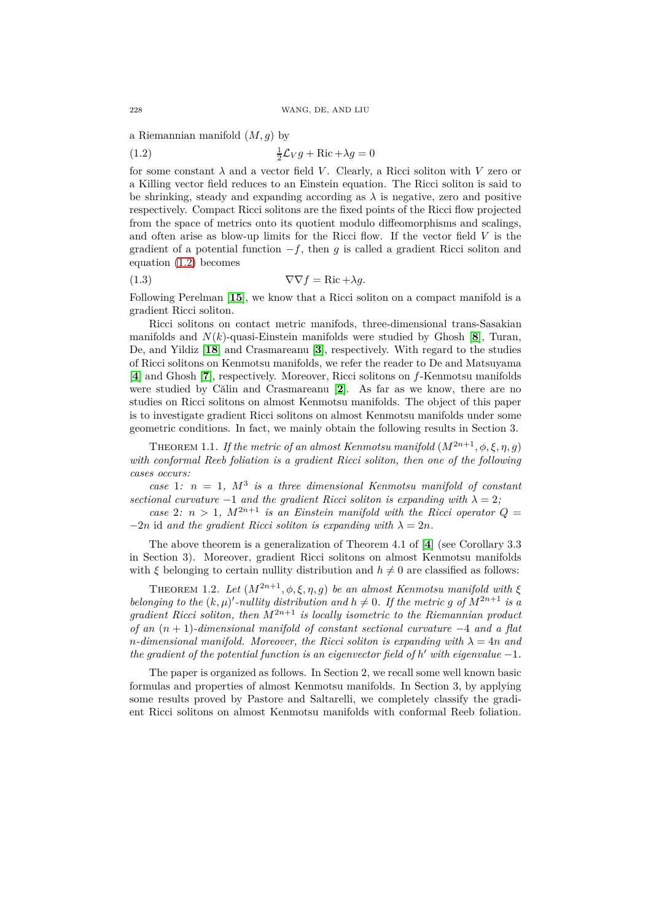a Riemannian manifold (*M, g*) by

<span id="page-1-0"></span>(1.2) 
$$
\frac{1}{2}\mathcal{L}_V g + \text{Ric} + \lambda g = 0
$$

for some constant  $\lambda$  and a vector field *V*. Clearly, a Ricci soliton with *V* zero or a Killing vector field reduces to an Einstein equation. The Ricci soliton is said to be shrinking, steady and expanding according as  $\lambda$  is negative, zero and positive respectively. Compact Ricci solitons are the fixed points of the Ricci flow projected from the space of metrics onto its quotient modulo diffeomorphisms and scalings, and often arise as blow-up limits for the Ricci flow. If the vector field *V* is the gradient of a potential function  $-f$ , then *g* is called a gradient Ricci soliton and equation [\(1.2\)](#page-1-0) becomes

<span id="page-1-1"></span>(1.3) 
$$
\nabla \nabla f = \text{Ric} + \lambda g.
$$

Following Perelman [**[15](#page-8-6)**], we know that a Ricci soliton on a compact manifold is a gradient Ricci soliton.

Ricci solitons on contact metric manifods, three-dimensional trans-Sasakian manifolds and  $N(k)$ -quasi-Einstein manifolds were studied by Ghosh  $[8]$  $[8]$  $[8]$ , Turan, De, and Yildiz [**[18](#page-8-8)**] and Crasmareanu [**[3](#page-7-2)**], respectively. With regard to the studies of Ricci solitons on Kenmotsu manifolds, we refer the reader to De and Matsuyama [**[4](#page-7-3)**] and Ghosh [**[7](#page-8-9)**], respectively. Moreover, Ricci solitons on *f*-Kenmotsu manifolds were studied by Călin and Crasmareanu [**[2](#page-7-4)**]. As far as we know, there are no studies on Ricci solitons on almost Kenmotsu manifolds. The object of this paper is to investigate gradient Ricci solitons on almost Kenmotsu manifolds under some geometric conditions. In fact, we mainly obtain the following results in Section 3.

<span id="page-1-2"></span>THEOREM 1.1. *If the metric of an almost Kenmotsu manifold*  $(M^{2n+1}, \phi, \xi, \eta, g)$ *with conformal Reeb foliation is a gradient Ricci soliton, then one of the following cases occurs:*

*case* 1*: n* = 1*, M*<sup>3</sup> *is a three dimensional Kenmotsu manifold of constant sectional curvature*  $-1$  *and the gradient Ricci soliton is expanding with*  $\lambda = 2$ ;

*case* 2*:*  $n > 1$ ,  $M^{2n+1}$  *is an Einstein manifold with the Ricci operator*  $Q =$  $-2n$  id and the gradient Ricci soliton is expanding with  $\lambda = 2n$ .

The above theorem is a generalization of Theorem 4.1 of [**[4](#page-7-3)**] (see Corollary 3.3 in Section 3). Moreover, gradient Ricci solitons on almost Kenmotsu manifolds with *ξ* belonging to certain nullity distribution and  $h \neq 0$  are classified as follows:

<span id="page-1-3"></span>THEOREM 1.2. *Let*  $(M^{2n+1}, \phi, \xi, \eta, g)$  *be an almost Kenmotsu manifold with*  $\xi$ *belonging to the*  $(k, \mu)'$ -*nullity distribution and*  $h \neq 0$ . If the metric g of  $M^{2n+1}$  is a *gradient Ricci soliton, then*  $M^{2n+1}$  *is locally isometric to the Riemannian product of an* (*n* + 1)*-dimensional manifold of constant sectional curvature* −4 *and a flat n*-dimensional manifold. Moreover, the Ricci soliton is expanding with  $\lambda = 4n$  and *the gradient of the potential function is an eigenvector field of*  $h'$  *with eigenvalue*  $-1$ *.* 

The paper is organized as follows. In Section 2, we recall some well known basic formulas and properties of almost Kenmotsu manifolds. In Section 3, by applying some results proved by Pastore and Saltarelli, we completely classify the gradient Ricci solitons on almost Kenmotsu manifolds with conformal Reeb foliation.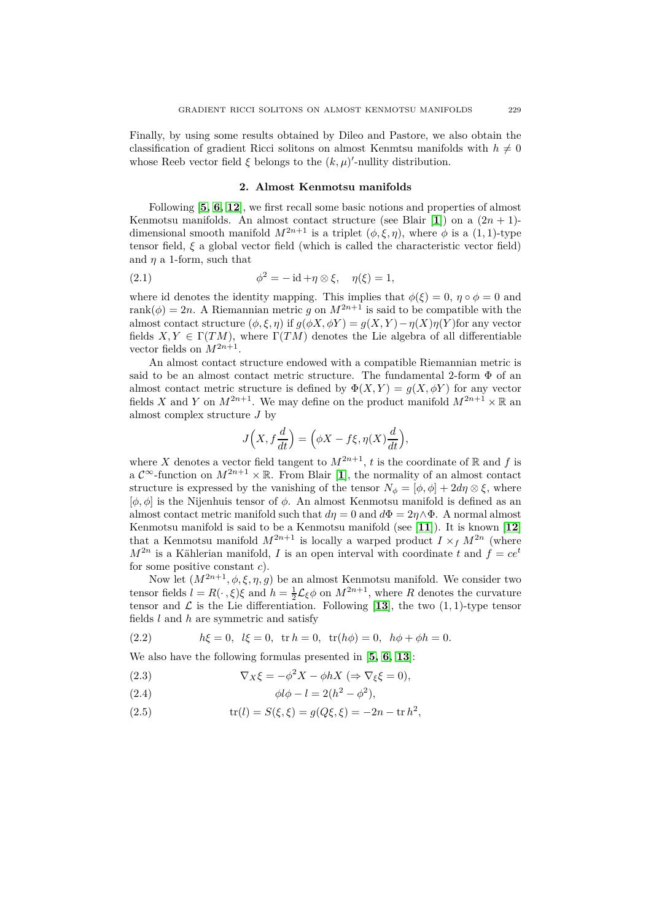Finally, by using some results obtained by Dileo and Pastore, we also obtain the classification of gradient Ricci solitons on almost Kenmtsu manifolds with  $h \neq 0$ whose Reeb vector field  $\xi$  belongs to the  $(k, \mu)'$ -nullity distribution.

# <span id="page-2-1"></span>**2. Almost Kenmotsu manifolds**

Following [**[5,](#page-7-0) [6,](#page-7-1) [12](#page-8-0)**], we first recall some basic notions and properties of almost Kenmotsu manifolds. An almost contact structure (see Blair [[1](#page-7-5)]) on a  $(2n + 1)$ dimensional smooth manifold  $M^{2n+1}$  is a triplet  $(\phi, \xi, \eta)$ , where  $\phi$  is a (1, 1)-type tensor field, *ξ* a global vector field (which is called the characteristic vector field) and *η* a 1-form, such that

(2.1) 
$$
\phi^2 = -id + \eta \otimes \xi, \quad \eta(\xi) = 1,
$$

where id denotes the identity mapping. This implies that  $\phi(\xi) = 0$ ,  $\eta \circ \phi = 0$  and rank( $\phi$ ) = 2*n*. A Riemannian metric *g* on  $M^{2n+1}$  is said to be compatible with the almost contact structure  $(\phi, \xi, \eta)$  if  $g(\phi X, \phi Y) = g(X, Y) - \eta(X)\eta(Y)$  for any vector fields  $X, Y \in \Gamma(TM)$ , where  $\Gamma(TM)$  denotes the Lie algebra of all differentiable vector fields on  $M^{2n+1}$ .

An almost contact structure endowed with a compatible Riemannian metric is said to be an almost contact metric structure. The fundamental 2-form  $\Phi$  of an almost contact metric structure is defined by  $\Phi(X,Y) = g(X, \phi Y)$  for any vector fields *X* and *Y* on  $M^{2n+1}$ . We may define on the product manifold  $M^{2n+1} \times \mathbb{R}$  an almost complex structure *J* by

$$
J\Big(X, f\frac{d}{dt}\Big) = \Big(\phi X - f\xi, \eta(X)\frac{d}{dt}\Big),\,
$$

where X denotes a vector field tangent to  $M^{2n+1}$ , t is the coordinate of R and f is a  $\mathcal{C}^{\infty}$ -function on  $M^{2n+1} \times \mathbb{R}$  $M^{2n+1} \times \mathbb{R}$  $M^{2n+1} \times \mathbb{R}$ . From Blair [1], the normality of an almost contact structure is expressed by the vanishing of the tensor  $N_{\phi} = [\phi, \phi] + 2d\eta \otimes \xi$ , where [*φ, φ*] is the Nijenhuis tensor of *φ*. An almost Kenmotsu manifold is defined as an almost contact metric manifold such that  $d\eta = 0$  and  $d\Phi = 2\eta \wedge \Phi$ . A normal almost Kenmotsu manifold is said to be a Kenmotsu manifold (see [**[11](#page-8-1)**]). It is known [**[12](#page-8-0)**] that a Kenmotsu manifold  $M^{2n+1}$  is locally a warped product  $I \times_f M^{2n}$  (where  $M^{2n}$  is a Kählerian manifold, *I* is an open interval with coordinate *t* and  $f = ce^t$ for some positive constant *c*).

Now let  $(M^{2n+1}, \phi, \xi, \eta, g)$  be an almost Kenmotsu manifold. We consider two tensor fields  $l = R(\cdot, \xi)\xi$  and  $h = \frac{1}{2}\mathcal{L}_{\xi}\phi$  on  $M^{2n+1}$ , where *R* denotes the curvature tensor and  $\mathcal L$  is the Lie differentiation. Following [[13](#page-8-2)], the two  $(1, 1)$ -type tensor fields *l* and *h* are symmetric and satisfy

<span id="page-2-2"></span>(2.2) 
$$
h\xi = 0, l\xi = 0, \text{tr } h = 0, \text{tr}(h\phi) = 0, h\phi + \phi h = 0.
$$

We also have the following formulas presented in [**[5,](#page-7-0) [6,](#page-7-1) [13](#page-8-2)**]:

<span id="page-2-0"></span>(2.3) 
$$
\nabla_X \xi = -\phi^2 X - \phi h X \; (\Rightarrow \nabla_\xi \xi = 0),
$$

<span id="page-2-3"></span>(2.4) 
$$
\phi l \phi - l = 2(h^2 - \phi^2),
$$

(2.5) 
$$
\text{tr}(l) = S(\xi, \xi) = g(Q\xi, \xi) = -2n - \text{tr } h^2,
$$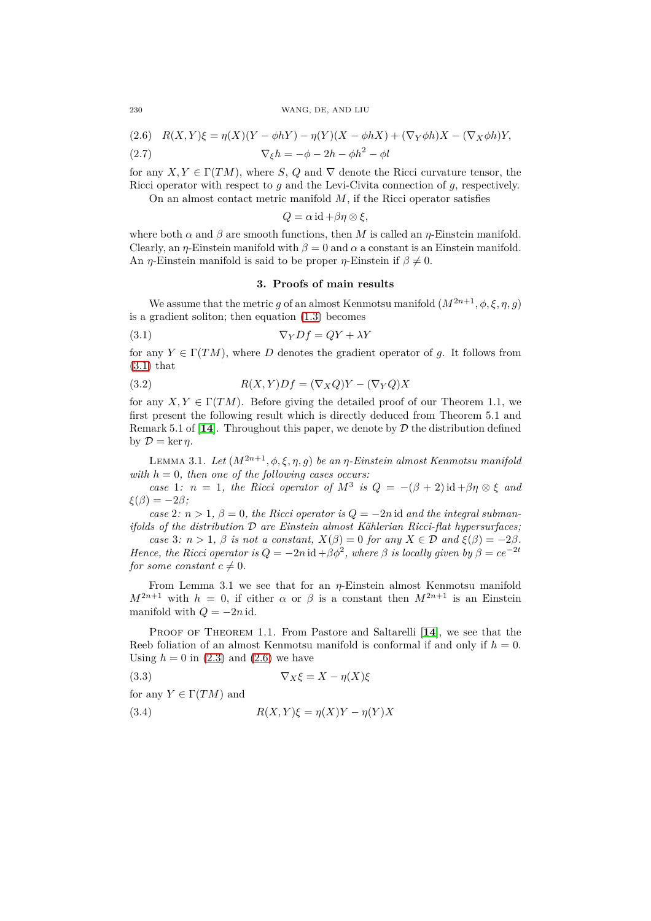<span id="page-3-1"></span>
$$
(2.6) \quad R(X,Y)\xi = \eta(X)(Y - \phi hY) - \eta(Y)(X - \phi hX) + (\nabla_Y \phi h)X - (\nabla_X \phi h)Y,
$$

(2.7) 
$$
\nabla_{\xi}h = -\phi - 2h - \phi h^2 - \phi l
$$

for any  $X, Y \in \Gamma(TM)$ , where *S*, *Q* and  $\nabla$  denote the Ricci curvature tensor, the Ricci operator with respect to *g* and the Levi-Civita connection of *g*, respectively.

On an almost contact metric manifold *M*, if the Ricci operator satisfies

$$
Q = \alpha \operatorname{id} + \beta \eta \otimes \xi,
$$

where both  $\alpha$  and  $\beta$  are smooth functions, then *M* is called an *η*-Einstein manifold. Clearly, an *η*-Einstein manifold with  $\beta = 0$  and  $\alpha$  a constant is an Einstein manifold. An *η*-Einstein manifold is said to be proper *η*-Einstein if  $\beta \neq 0$ .

# <span id="page-3-3"></span><span id="page-3-0"></span>**3. Proofs of main results**

We assume that the metric *g* of an almost Kenmotsu manifold  $(M^{2n+1}, \phi, \xi, \eta, g)$ is a gradient soliton; then equation [\(1.3\)](#page-1-1) becomes

$$
(3.1)\t\t \nabla_Y Df = QY + \lambda Y
$$

for any  $Y \in \Gamma(TM)$ , where *D* denotes the gradient operator of *g*. It follows from  $(3.1)$  that

(3.2) 
$$
R(X,Y)Df = (\nabla_X Q)Y - (\nabla_Y Q)X
$$

for any  $X, Y \in \Gamma(TM)$ . Before giving the detailed proof of our Theorem 1.1, we first present the following result which is directly deduced from Theorem 5.1 and Remark 5.1 of  $[14]$  $[14]$  $[14]$ . Throughout this paper, we denote by  $D$  the distribution defined by  $\mathcal{D} = \ker \eta$ .

<span id="page-3-5"></span>LEMMA 3.1. *Let*  $(M^{2n+1}, \phi, \xi, \eta, g)$  *be an*  $\eta$ *-Einstein almost Kenmotsu manifold with h* = 0*, then one of the following cases occurs:*

*case* 1:  $n = 1$ , the Ricci operator of  $M^3$  is  $Q = -(\beta + 2) \mathrm{id} + \beta \eta \otimes \xi$  and  $\xi(\beta) = -2\beta$ ;

*case* 2*:*  $n > 1$ ,  $\beta = 0$ , the Ricci operator is  $Q = -2n$  id and the integral subman*ifolds of the distribution* D *are Einstein almost Kählerian Ricci-flat hypersurfaces;*

*case* 3*:*  $n > 1$ ,  $\beta$  *is not a constant,*  $X(\beta) = 0$  *for any*  $X \in \mathcal{D}$  *and*  $\xi(\beta) = -2\beta$ *. Hence, the Ricci operator is*  $Q = -2n \operatorname{id} + \beta \phi^2$ , where  $\beta$  *is locally given by*  $\beta = ce^{-2t}$ *for some constant*  $c \neq 0$ *.* 

From Lemma 3.1 we see that for an *η*-Einstein almost Kenmotsu manifold  $M^{2n+1}$  with  $h = 0$ , if either  $\alpha$  or  $\beta$  is a constant then  $M^{2n+1}$  is an Einstein manifold with  $Q = -2n$  id.

PROOF OF THEOREM 1.1. From Pastore and Saltarelli [[14](#page-8-3)], we see that the Reeb foliation of an almost Kenmotsu manifold is conformal if and only if  $h = 0$ . Using  $h = 0$  in  $(2.3)$  and  $(2.6)$  we have

<span id="page-3-4"></span>
$$
\nabla_X \xi = X - \eta(X)\xi
$$

for any  $Y \in \Gamma(TM)$  and

<span id="page-3-2"></span>(3.4) 
$$
R(X,Y)\xi = \eta(X)Y - \eta(Y)X
$$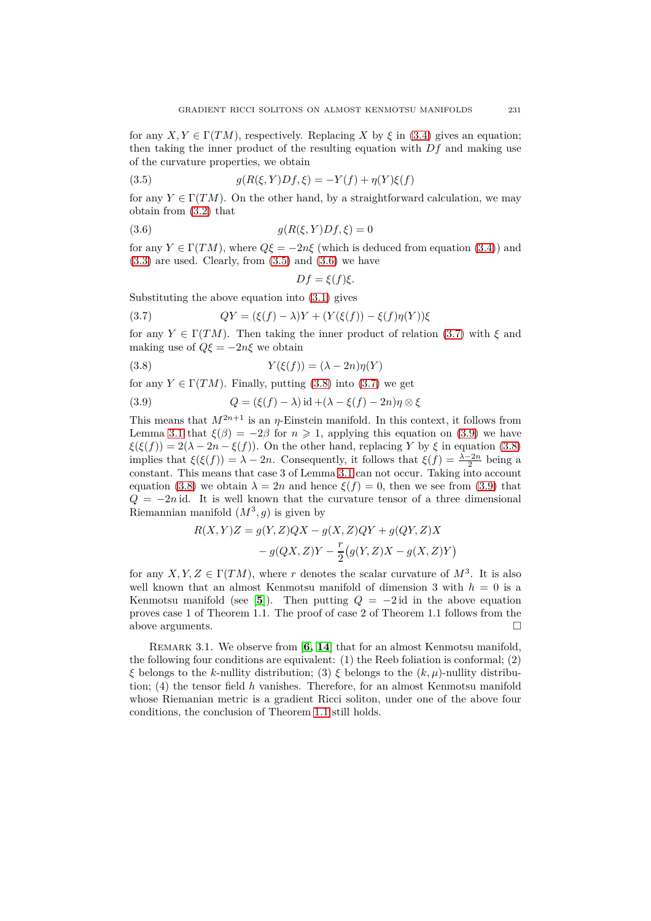for any  $X, Y \in \Gamma(TM)$ , respectively. Replacing *X* by  $\xi$  in [\(3.4\)](#page-3-2) gives an equation; then taking the inner product of the resulting equation with *Df* and making use of the curvature properties, we obtain

<span id="page-4-0"></span>(3.5) 
$$
g(R(\xi, Y)Df, \xi) = -Y(f) + \eta(Y)\xi(f)
$$

for any  $Y \in \Gamma(TM)$ . On the other hand, by a straightforward calculation, we may obtain from [\(3.2\)](#page-3-3) that

$$
(3.6) \qquad \qquad g(R(\xi, Y)Df, \xi) = 0
$$

for any  $Y \in \Gamma(TM)$ , where  $Q\xi = -2n\xi$  (which is deduced from equation [\(3.4\)](#page-3-2)) and  $(3.3)$  are used. Clearly, from  $(3.5)$  and  $(3.6)$  we have

<span id="page-4-3"></span><span id="page-4-2"></span><span id="page-4-1"></span>
$$
Df = \xi(f)\xi.
$$

Substituting the above equation into [\(3.1\)](#page-3-0) gives

(3.7) 
$$
QY = (\xi(f) - \lambda)Y + (Y(\xi(f)) - \xi(f)\eta(Y))\xi
$$

for any  $Y \in \Gamma(TM)$ . Then taking the inner product of relation [\(3.7\)](#page-4-2) with  $\xi$  and making use of  $Q\xi = -2n\xi$  we obtain

(3.8) 
$$
Y(\xi(f)) = (\lambda - 2n)\eta(Y)
$$

for any  $Y \in \Gamma(TM)$ . Finally, putting [\(3.8\)](#page-4-3) into [\(3.7\)](#page-4-2) we get

<span id="page-4-4"></span>(3.9) 
$$
Q = (\xi(f) - \lambda) \operatorname{id} + (\lambda - \xi(f) - 2n)\eta \otimes \xi
$$

This means that  $M^{2n+1}$  is an *η*-Einstein manifold. In this context, it follows from Lemma [3.1](#page-3-5) that  $\xi(\beta) = -2\beta$  for  $n \ge 1$ , applying this equation on [\(3.9\)](#page-4-4) we have  $\xi(\xi(f)) = 2(\lambda - 2n - \xi(f))$ . On the other hand, replacing *Y* by  $\xi$  in equation [\(3.8\)](#page-4-3) implies that  $\xi(\xi(f)) = \lambda - 2n$ . Consequently, it follows that  $\xi(f) = \frac{\lambda - 2n}{2}$  being a constant. This means that case 3 of Lemma [3.1](#page-3-5) can not occur. Taking into account equation [\(3.8\)](#page-4-3) we obtain  $\lambda = 2n$  and hence  $\xi(f) = 0$ , then we see from [\(3.9\)](#page-4-4) that  $Q = -2n$  id. It is well known that the curvature tensor of a three dimensional Riemannian manifold  $(M^3, g)$  is given by

$$
R(X,Y)Z = g(Y,Z)QX - g(X,Z)QY + g(QY,Z)X
$$

$$
- g(QX,Z)Y - \frac{r}{2}(g(Y,Z)X - g(X,Z)Y)
$$

for any  $X, Y, Z \in \Gamma(TM)$ , where *r* denotes the scalar curvature of  $M^3$ . It is also well known that an almost Kenmotsu manifold of dimension 3 with *h* = 0 is a Kenmotsu manifold (see [[5](#page-7-0)]). Then putting  $Q = -2id$  in the above equation proves case 1 of Theorem 1.1. The proof of case 2 of Theorem 1.1 follows from the above arguments.

REMARK 3.1. We observe from [[6,](#page-7-1) [14](#page-8-3)] that for an almost Kenmotsu manifold, the following four conditions are equivalent: (1) the Reeb foliation is conformal; (2) *ξ* belongs to the *k*-nullity distribution; (3) *ξ* belongs to the (*k, µ*)-nullity distribution; (4) the tensor field *h* vanishes. Therefore, for an almost Kenmotsu manifold whose Riemanian metric is a gradient Ricci soliton, under one of the above four conditions, the conclusion of Theorem [1.1](#page-1-2) still holds.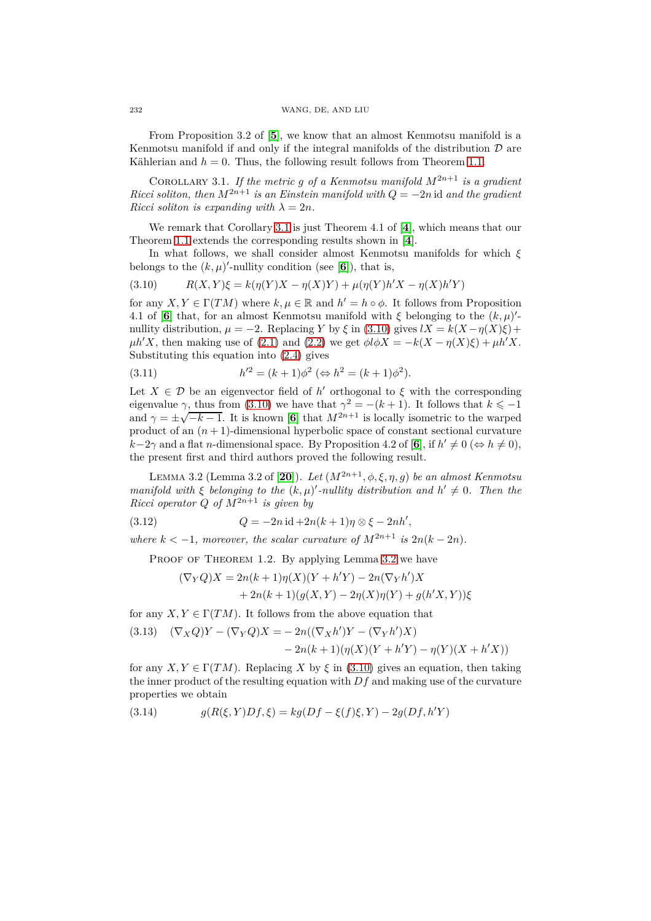From Proposition 3.2 of [**[5](#page-7-0)**], we know that an almost Kenmotsu manifold is a Kenmotsu manifold if and only if the integral manifolds of the distribution  $D$  are Kählerian and  $h = 0$ . Thus, the following result follows from Theorem [1.1.](#page-1-2)

<span id="page-5-0"></span>COROLLARY 3.1. *If the metric g of a Kenmotsu manifold*  $M^{2n+1}$  *is a gradient Ricci soliton, then*  $M^{2n+1}$  *is an Einstein manifold with*  $Q = -2n$  id *and the gradient Ricci soliton is expanding with*  $\lambda = 2n$ *.* 

We remark that Corollary [3.1](#page-5-0) is just Theorem 4.1 of [**[4](#page-7-3)**], which means that our Theorem [1.1](#page-1-2) extends the corresponding results shown in [**[4](#page-7-3)**].

In what follows, we shall consider almost Kenmotsu manifolds for which *ξ* belongs to the  $(k, \mu)'$ -nullity condition (see [[6](#page-7-1)]), that is,

<span id="page-5-1"></span>(3.10) 
$$
R(X,Y)\xi = k(\eta(Y)X - \eta(X)Y) + \mu(\eta(Y)h'X - \eta(X)h'Y)
$$

for any  $X, Y \in \Gamma(TM)$  where  $k, \mu \in \mathbb{R}$  and  $h' = h \circ \phi$ . It follows from Proposition 4.1 of [[6](#page-7-1)] that, for an almost Kenmotsu manifold with  $\xi$  belonging to the  $(k, \mu)'$ nullity distribution,  $\mu = -2$ . Replacing *Y* by  $\xi$  in [\(3.10\)](#page-5-1) gives  $lX = k(X - \eta(X)\xi) +$  $\mu h'X$ , then making use of [\(2.1\)](#page-2-1) and [\(2.2\)](#page-2-2) we get  $\phi l\phi X = -k(X - \eta(X)\xi) + \mu h'X$ . Substituting this equation into [\(2.4\)](#page-2-3) gives

<span id="page-5-5"></span>(3.11) 
$$
h'^2 = (k+1)\phi^2 \; (\Leftrightarrow h^2 = (k+1)\phi^2).
$$

Let  $X \in \mathcal{D}$  be an eigenvector field of  $h'$  orthogonal to  $\xi$  with the corresponding eigenvalue  $\gamma$ , thus from [\(3.10\)](#page-5-1) we have that  $\gamma^2 = -(k+1)$ . It follows that  $k \le -1$ and  $\gamma = \pm \sqrt{-k-1}$ . It is known [[6](#page-7-1)] that  $M^{2n+1}$  is locally isometric to the warped product of an  $(n + 1)$ -dimensional hyperbolic space of constant sectional curvature  $k-2\gamma$  and a flat *n*-dimensional space. By Proposition 4.2 of [[6](#page-7-1)], if  $h' \neq 0$  ( $\Leftrightarrow h \neq 0$ ), the present first and third authors proved the following result.

<span id="page-5-2"></span>LEMMA 3.2 (Lemma 3.2 of [[20](#page-8-10)]). *Let*  $(M^{2n+1}, \phi, \xi, \eta, g)$  *be an almost Kenmotsu manifold with*  $\xi$  *belonging to the*  $(k, \mu)'$ -*nullity distribution and*  $h' \neq 0$ . Then the  $Ricci operator Q of M^{2n+1}$  *is given by* 

(3.12) 
$$
Q = -2n \operatorname{id} + 2n(k+1)\eta \otimes \xi - 2nh',
$$

*where*  $k < -1$ *, moreover, the scalar curvature of*  $M^{2n+1}$  *is*  $2n(k-2n)$ *.* 

PROOF OF THEOREM 1.2. By applying Lemma [3.2](#page-5-2) we have

<span id="page-5-6"></span>
$$
(\nabla_Y Q)X = 2n(k+1)\eta(X)(Y + h'Y) - 2n(\nabla_Y h')X
$$

$$
+ 2n(k+1)(g(X,Y) - 2\eta(X)\eta(Y) + g(h'X,Y))\xi
$$

for any  $X, Y \in \Gamma(TM)$ . It follows from the above equation that

<span id="page-5-3"></span>(3.13) 
$$
(\nabla_X Q)Y - (\nabla_Y Q)X = -2n((\nabla_X h')Y - (\nabla_Y h')X) - 2n(k+1)(\eta(X)(Y + h'Y) - \eta(Y)(X + h'X))
$$

for any  $X, Y \in \Gamma(TM)$ . Replacing *X* by  $\xi$  in [\(3.10\)](#page-5-1) gives an equation, then taking the inner product of the resulting equation with  $Df$  and making use of the curvature properties we obtain

<span id="page-5-4"></span>(3.14) 
$$
g(R(\xi, Y)Df, \xi) = kg(Df - \xi(f)\xi, Y) - 2g(Df, h'Y)
$$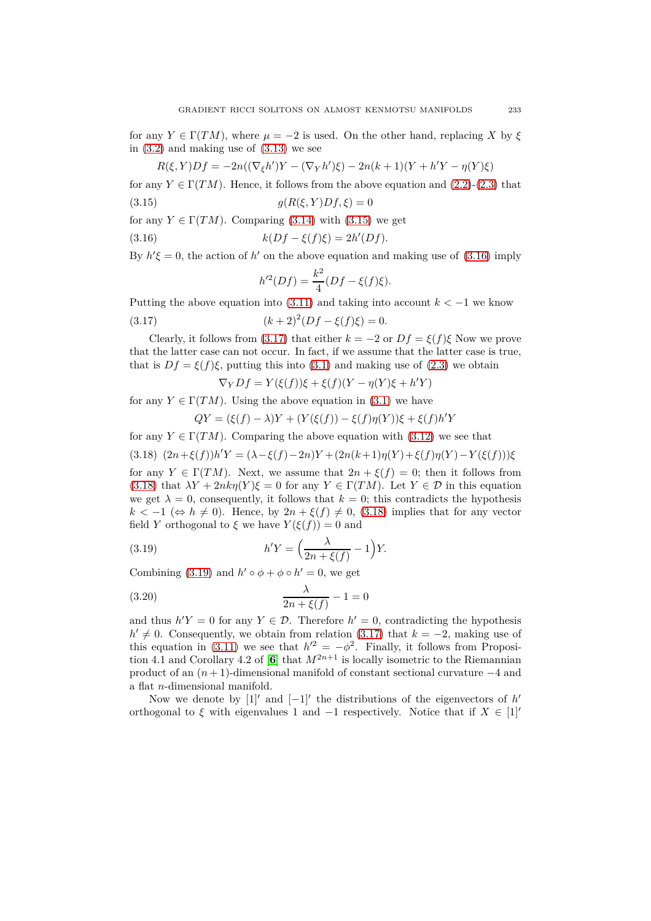for any  $Y \in \Gamma(TM)$ , where  $\mu = -2$  is used. On the other hand, replacing X by  $\xi$ in  $(3.2)$  and making use of  $(3.13)$  we see

$$
R(\xi,Y)Df = -2n((\nabla_{\xi}h')Y - (\nabla_{Y}h')\xi) - 2n(k+1)(Y + h'Y - \eta(Y)\xi)
$$

for any  $Y \in \Gamma(TM)$ . Hence, it follows from the above equation and [\(2.2\)](#page-2-2)-[\(2.3\)](#page-2-0) that

$$
(3.15) \t\t g(R(\xi, Y)Df, \xi) = 0
$$

for any  $Y \in \Gamma(TM)$ . Comparing [\(3.14\)](#page-5-4) with [\(3.15\)](#page-6-0) we get

(3.16) 
$$
k(Df - \xi(f)\xi) = 2h'(Df).
$$

By  $h' \xi = 0$ , the action of  $h'$  on the above equation and making use of [\(3.16\)](#page-6-1) imply

<span id="page-6-2"></span><span id="page-6-1"></span><span id="page-6-0"></span>
$$
h'^{2}(Df) = \frac{k^{2}}{4}(Df - \xi(f)\xi).
$$

Putting the above equation into [\(3.11\)](#page-5-5) and taking into account  $k < -1$  we know (3.17)  $(k+2)^2(Df - \xi(f)\xi) = 0.$ 

Clearly, it follows from [\(3.17\)](#page-6-2) that either  $k = -2$  or  $Df = \xi(f)\xi$  Now we prove that the latter case can not occur. In fact, if we assume that the latter case is true, that is  $Df = \xi(f)\xi$ , putting this into [\(3.1\)](#page-3-0) and making use of [\(2.3\)](#page-2-0) we obtain

$$
\nabla_Y Df = Y(\xi(f))\xi + \xi(f)(Y - \eta(Y)\xi + h'Y)
$$

for any  $Y \in \Gamma(TM)$ . Using the above equation in [\(3.1\)](#page-3-0) we have

$$
QY = (\xi(f) - \lambda)Y + (Y(\xi(f)) - \xi(f)\eta(Y))\xi + \xi(f)h'Y
$$

<span id="page-6-3"></span>for any  $Y \in \Gamma(TM)$ . Comparing the above equation with [\(3.12\)](#page-5-6) we see that (3.18)  $(2n+\xi(f))h'Y = (\lambda - \xi(f) - 2n)Y + (2n(k+1)\eta(Y) + \xi(f)\eta(Y) - Y(\xi(f)))\xi$ for any  $Y \in \Gamma(TM)$ . Next, we assume that  $2n + \xi(f) = 0$ ; then it follows from [\(3.18\)](#page-6-3) that  $\lambda Y + 2n k \eta(Y) \xi = 0$  for any  $Y \in \Gamma(TM)$ . Let  $Y \in \mathcal{D}$  in this equation we get  $\lambda = 0$ , consequently, it follows that  $k = 0$ ; this contradicts the hypothesis  $k < -1 \ (\Leftrightarrow h \neq 0)$ . Hence, by  $2n + \xi(f) \neq 0$ , [\(3.18\)](#page-6-3) implies that for any vector field *Y* orthogonal to  $\xi$  we have  $Y(\xi(f)) = 0$  and

<span id="page-6-4"></span>(3.19) 
$$
h'Y = \left(\frac{\lambda}{2n + \xi(f)} - 1\right)Y.
$$

Combining [\(3.19\)](#page-6-4) and  $h' \circ \phi + \phi \circ h' = 0$ , we get

(3.20) 
$$
\frac{\lambda}{2n + \xi(f)} - 1 = 0
$$

and thus  $h'Y = 0$  for any  $Y \in \mathcal{D}$ . Therefore  $h' = 0$ , contradicting the hypothesis *h*<sup> $\prime$ </sup> ≠ 0. Consequently, we obtain from relation [\(3.17\)](#page-6-2) that  $k = -2$ , making use of this equation in [\(3.11\)](#page-5-5) we see that  $h'^2 = -\phi^2$ . Finally, it follows from Proposi-tion 4.1 and Corollary 4.2 of [[6](#page-7-1)] that  $M^{2n+1}$  is locally isometric to the Riemannian product of an (*n* + 1)-dimensional manifold of constant sectional curvature −4 and a flat *n*-dimensional manifold.

Now we denote by  $[1]'$  and  $[-1]'$  the distributions of the eigenvectors of  $h'$ orthogonal to  $\xi$  with eigenvalues 1 and  $-1$  respectively. Notice that if  $X \in [1]'$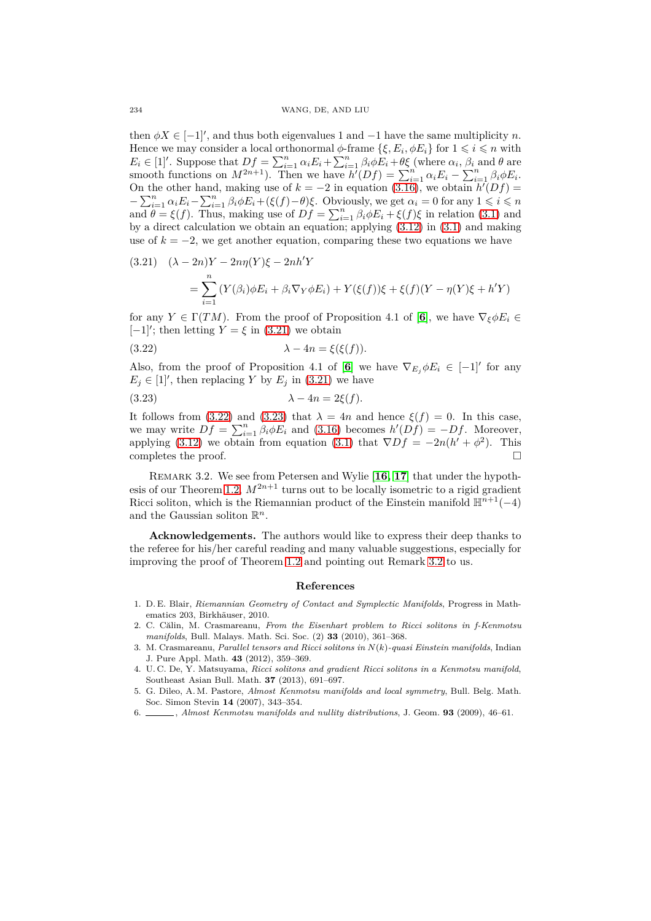then  $\phi X \in [-1]'$ , and thus both eigenvalues 1 and  $-1$  have the same multiplicity *n*. Hence we may consider a local orthonormal  $\phi$ -frame  $\{\xi, E_i, \phi E_i\}$  for  $1 \leq i \leq n$  with  $E_i \in [1]'.$  Suppose that  $Df = \sum_{i=1}^n \alpha_i E_i + \sum_{i=1}^n \beta_i \phi E_i + \theta \xi$  (where  $\alpha_i$ ,  $\beta_i$  and  $\theta$  are smooth functions on  $M^{2n+1}$ ). Then we have  $h'(Df) = \sum_{i=1}^{n} \alpha_i E_i - \sum_{i=1}^{n} \beta_i \phi E_i$ . On the other hand, making use of  $k = -2$  in equation  $(3.16)$ , we obtain  $h'(Df) =$  $-\sum_{i=1}^n \alpha_i E_i - \sum_{i=1}^n \beta_i \phi E_i + (\xi(f) - \theta)\xi$ . Obviously, we get  $\alpha_i = 0$  for any  $1 \leq i \leq n$ and  $\theta = \xi(f)$ . Thus, making use of  $Df = \sum_{i=1}^{n} \beta_i \phi E_i + \xi(f)\xi$  in relation [\(3.1\)](#page-3-0) and by a direct calculation we obtain an equation; applying [\(3.12\)](#page-5-6) in [\(3.1\)](#page-3-0) and making use of  $k = -2$ , we get another equation, comparing these two equations we have

<span id="page-7-6"></span>(3.21) 
$$
(\lambda - 2n)Y - 2n\eta(Y)\xi - 2nh'Y
$$

$$
= \sum_{i=1}^{n} (Y(\beta_i)\phi E_i + \beta_i \nabla_Y \phi E_i) + Y(\xi(f))\xi + \xi(f)(Y - \eta(Y)\xi + h'Y)
$$

for any  $Y \in \Gamma(TM)$ . From the proof of Proposition 4.1 of [[6](#page-7-1)], we have  $\nabla_{\xi} \phi E_i \in$ [−1]′ ; then letting *Y* = *ξ* in [\(3.21\)](#page-7-6) we obtain

<span id="page-7-7"></span>(3.22) 
$$
\lambda - 4n = \xi(\xi(f)).
$$

Also, from the proof of Proposition 4.1 of [[6](#page-7-1)] we have  $\nabla_{E_j}\phi E_i \in [-1]$ <sup>*f*</sup> for any  $E_j \in [1]'$ , then replacing *Y* by  $E_j$  in [\(3.21\)](#page-7-6) we have

<span id="page-7-8"></span>
$$
\lambda - 4n = 2\xi(f).
$$

It follows from [\(3.22\)](#page-7-7) and [\(3.23\)](#page-7-8) that  $\lambda = 4n$  and hence  $\xi(f) = 0$ . In this case, we may write  $Df = \sum_{i=1}^{n} \beta_i \phi E_i$  and [\(3.16\)](#page-6-1) becomes  $h'(Df) = -Df$ . Moreover, applying [\(3.12\)](#page-5-6) we obtain from equation [\(3.1\)](#page-3-0) that  $\nabla Df = -2n(h' + \phi^2)$ . This completes the proof.  $\Box$ 

<span id="page-7-9"></span>Remark 3.2. We see from Petersen and Wylie [**[16,](#page-8-11) [17](#page-8-12)**] that under the hypoth-esis of our Theorem [1.2,](#page-1-3)  $M^{2n+1}$  turns out to be locally isometric to a rigid gradient Ricci soliton, which is the Riemannian product of the Einstein manifold  $\mathbb{H}^{n+1}(-4)$ and the Gaussian soliton R *n*.

**Acknowledgements.** The authors would like to express their deep thanks to the referee for his/her careful reading and many valuable suggestions, especially for improving the proof of Theorem [1.2](#page-1-3) and pointing out Remark [3.2](#page-7-9) to us.

#### **References**

- <span id="page-7-5"></span>1. D. E. Blair, *Riemannian Geometry of Contact and Symplectic Manifolds*, Progress in Mathematics 203, Birkhäuser, 2010.
- <span id="page-7-4"></span>2. C. Călin, M. Crasmareanu, *From the Eisenhart problem to Ricci solitons in f-Kenmotsu manifolds*, Bull. Malays. Math. Sci. Soc. (2) **33** (2010), 361–368.
- <span id="page-7-2"></span>3. M. Crasmareanu, *Parallel tensors and Ricci solitons in N*(*k*)*-quasi Einstein manifolds*, Indian J. Pure Appl. Math. **43** (2012), 359–369.
- <span id="page-7-3"></span>4. U. C. De, Y. Matsuyama, *Ricci solitons and gradient Ricci solitons in a Kenmotsu manifold*, Southeast Asian Bull. Math. **37** (2013), 691–697.
- <span id="page-7-0"></span>5. G. Dileo, A. M. Pastore, *Almost Kenmotsu manifolds and local symmetry*, Bull. Belg. Math. Soc. Simon Stevin **14** (2007), 343–354.
- <span id="page-7-1"></span>6. , *Almost Kenmotsu manifolds and nullity distributions*, J. Geom. **93** (2009), 46–61.